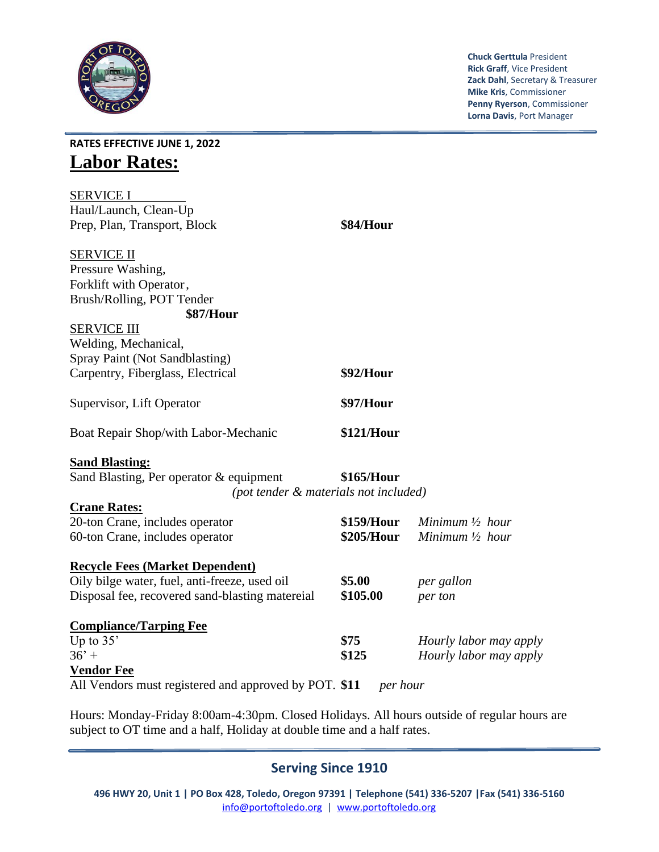

**Chuck Gerttula** President **Rick Graff**, Vice President **Zack Dahl**, Secretary & Treasurer **Mike Kris**, Commissioner **Penny Ryerson**, Commissioner **Lorna Davis**, Port Manager

**RATES EFFECTIVE JUNE 1, 2022 Labor Rates:**

| <b>SERVICE I</b>                                                                                                                                                                                                                                                                                                                                                                          |            |                            |  |  |  |
|-------------------------------------------------------------------------------------------------------------------------------------------------------------------------------------------------------------------------------------------------------------------------------------------------------------------------------------------------------------------------------------------|------------|----------------------------|--|--|--|
| Haul/Launch, Clean-Up                                                                                                                                                                                                                                                                                                                                                                     |            |                            |  |  |  |
| Prep, Plan, Transport, Block                                                                                                                                                                                                                                                                                                                                                              | \$84/Hour  |                            |  |  |  |
| <b>SERVICE II</b>                                                                                                                                                                                                                                                                                                                                                                         |            |                            |  |  |  |
| Pressure Washing,                                                                                                                                                                                                                                                                                                                                                                         |            |                            |  |  |  |
| Forklift with Operator,                                                                                                                                                                                                                                                                                                                                                                   |            |                            |  |  |  |
| Brush/Rolling, POT Tender                                                                                                                                                                                                                                                                                                                                                                 |            |                            |  |  |  |
| <b>\$87/Hour</b>                                                                                                                                                                                                                                                                                                                                                                          |            |                            |  |  |  |
| <b>SERVICE III</b>                                                                                                                                                                                                                                                                                                                                                                        |            |                            |  |  |  |
| Welding, Mechanical,                                                                                                                                                                                                                                                                                                                                                                      |            |                            |  |  |  |
| Spray Paint (Not Sandblasting)                                                                                                                                                                                                                                                                                                                                                            |            |                            |  |  |  |
| Carpentry, Fiberglass, Electrical                                                                                                                                                                                                                                                                                                                                                         | \$92/Hour  |                            |  |  |  |
|                                                                                                                                                                                                                                                                                                                                                                                           |            |                            |  |  |  |
| Supervisor, Lift Operator                                                                                                                                                                                                                                                                                                                                                                 | \$97/Hour  |                            |  |  |  |
| Boat Repair Shop/with Labor-Mechanic                                                                                                                                                                                                                                                                                                                                                      | \$121/Hour |                            |  |  |  |
| <b>Sand Blasting:</b>                                                                                                                                                                                                                                                                                                                                                                     |            |                            |  |  |  |
| Sand Blasting, Per operator & equipment                                                                                                                                                                                                                                                                                                                                                   | \$165/Hour |                            |  |  |  |
| (pot tender & materials not included)                                                                                                                                                                                                                                                                                                                                                     |            |                            |  |  |  |
| <b>Crane Rates:</b>                                                                                                                                                                                                                                                                                                                                                                       |            |                            |  |  |  |
| 20-ton Crane, includes operator                                                                                                                                                                                                                                                                                                                                                           | \$159/Hour | Minimum $\frac{1}{2}$ hour |  |  |  |
| 60-ton Crane, includes operator                                                                                                                                                                                                                                                                                                                                                           | \$205/Hour | Minimum $\frac{1}{2}$ hour |  |  |  |
|                                                                                                                                                                                                                                                                                                                                                                                           |            |                            |  |  |  |
| <b>Recycle Fees (Market Dependent)</b>                                                                                                                                                                                                                                                                                                                                                    |            |                            |  |  |  |
| Oily bilge water, fuel, anti-freeze, used oil                                                                                                                                                                                                                                                                                                                                             | \$5.00     | per gallon                 |  |  |  |
| Disposal fee, recovered sand-blasting matereial                                                                                                                                                                                                                                                                                                                                           | \$105.00   | per ton                    |  |  |  |
|                                                                                                                                                                                                                                                                                                                                                                                           |            |                            |  |  |  |
| <b>Compliance/Tarping Fee</b>                                                                                                                                                                                                                                                                                                                                                             |            |                            |  |  |  |
| Up to 35'                                                                                                                                                                                                                                                                                                                                                                                 | \$75       | Hourly labor may apply     |  |  |  |
| $36' +$                                                                                                                                                                                                                                                                                                                                                                                   | \$125      | Hourly labor may apply     |  |  |  |
| <b>Vendor Fee</b>                                                                                                                                                                                                                                                                                                                                                                         |            |                            |  |  |  |
| All Vendors must registered and approved by POT. \$11<br>per hour                                                                                                                                                                                                                                                                                                                         |            |                            |  |  |  |
| $\overline{1}$ $\overline{1}$ $\overline{1}$ $\overline{1}$ $\overline{1}$ $\overline{1}$ $\overline{1}$ $\overline{1}$ $\overline{1}$ $\overline{1}$ $\overline{1}$ $\overline{1}$ $\overline{1}$ $\overline{1}$ $\overline{1}$ $\overline{1}$ $\overline{1}$ $\overline{1}$ $\overline{1}$ $\overline{1}$ $\overline{1}$ $\overline{1}$ $\overline{1}$ $\overline{1}$ $\overline{$<br>. |            |                            |  |  |  |

Hours: Monday-Friday 8:00am-4:30pm. Closed Holidays. All hours outside of regular hours are subject to OT time and a half, Holiday at double time and a half rates.

## **Serving Since 1910**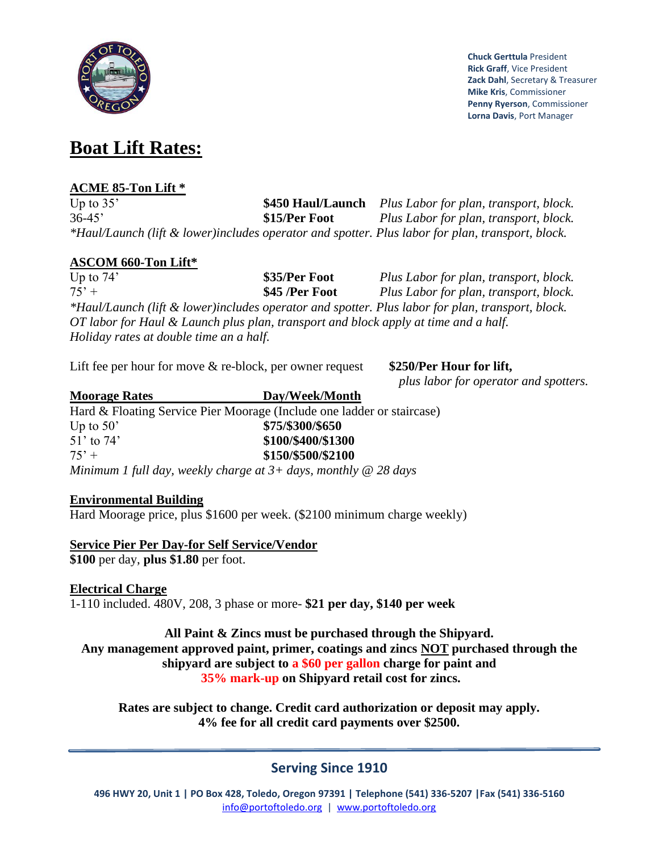

**Chuck Gerttula** President **Rick Graff**, Vice President **Zack Dahl**, Secretary & Treasurer **Mike Kris**, Commissioner **Penny Ryerson**, Commissioner **Lorna Davis**, Port Manager

# **Boat Lift Rates:**

#### **ACME 85-Ton Lift \***

Up to 35' **\$450 Haul/Launch** *Plus Labor for plan, transport, block.*  36-45' **\$15/Per Foot** *Plus Labor for plan, transport, block. \*Haul/Launch (lift & lower)includes operator and spotter. Plus labor for plan, transport, block.* 

#### **ASCOM 660-Ton Lift\***

Up to 74' **\$35/Per Foot** *Plus Labor for plan, transport, block.* 75' + **\$45 /Per Foot** *Plus Labor for plan, transport, block. \*Haul/Launch (lift & lower)includes operator and spotter. Plus labor for plan, transport, block. OT labor for Haul & Launch plus plan, transport and block apply at time and a half. Holiday rates at double time an a half.*

Lift fee per hour for move & re-block, per owner request \$250/Per Hour for lift,

*plus labor for operator and spotters.*

#### **Moorage Rates Day/Week/Month** Hard & Floating Service Pier Moorage (Include one ladder or staircase) Up to 50' **\$75/\$300/\$650** 51' to 74' **\$100/\$400/\$1300** 75' + **\$150/\$500/\$2100** *Minimum 1 full day, weekly charge at 3+ days, monthly @ 28 days*

### **Environmental Building**

Hard Moorage price, plus \$1600 per week. (\$2100 minimum charge weekly)

#### **Service Pier Per Day-for Self Service/Vendor**

**\$100** per day, **plus \$1.80** per foot.

#### **Electrical Charge**

1-110 included. 480V, 208, 3 phase or more- **\$21 per day, \$140 per week**

**All Paint & Zincs must be purchased through the Shipyard. Any management approved paint, primer, coatings and zincs NOT purchased through the shipyard are subject to a \$60 per gallon charge for paint and 35% mark-up on Shipyard retail cost for zincs.**

**Rates are subject to change. Credit card authorization or deposit may apply. 4% fee for all credit card payments over \$2500.** 

# **Serving Since 1910**

**496 HWY 20, Unit 1 | PO Box 428, Toledo, Oregon 97391 | Telephone (541) 336-5207 |Fax (541) 336-5160** [info@portoftoledo.org](mailto:info@portoftoledo.org) | [www.portoftoledo.org](http://www.portoftoledo.org/)